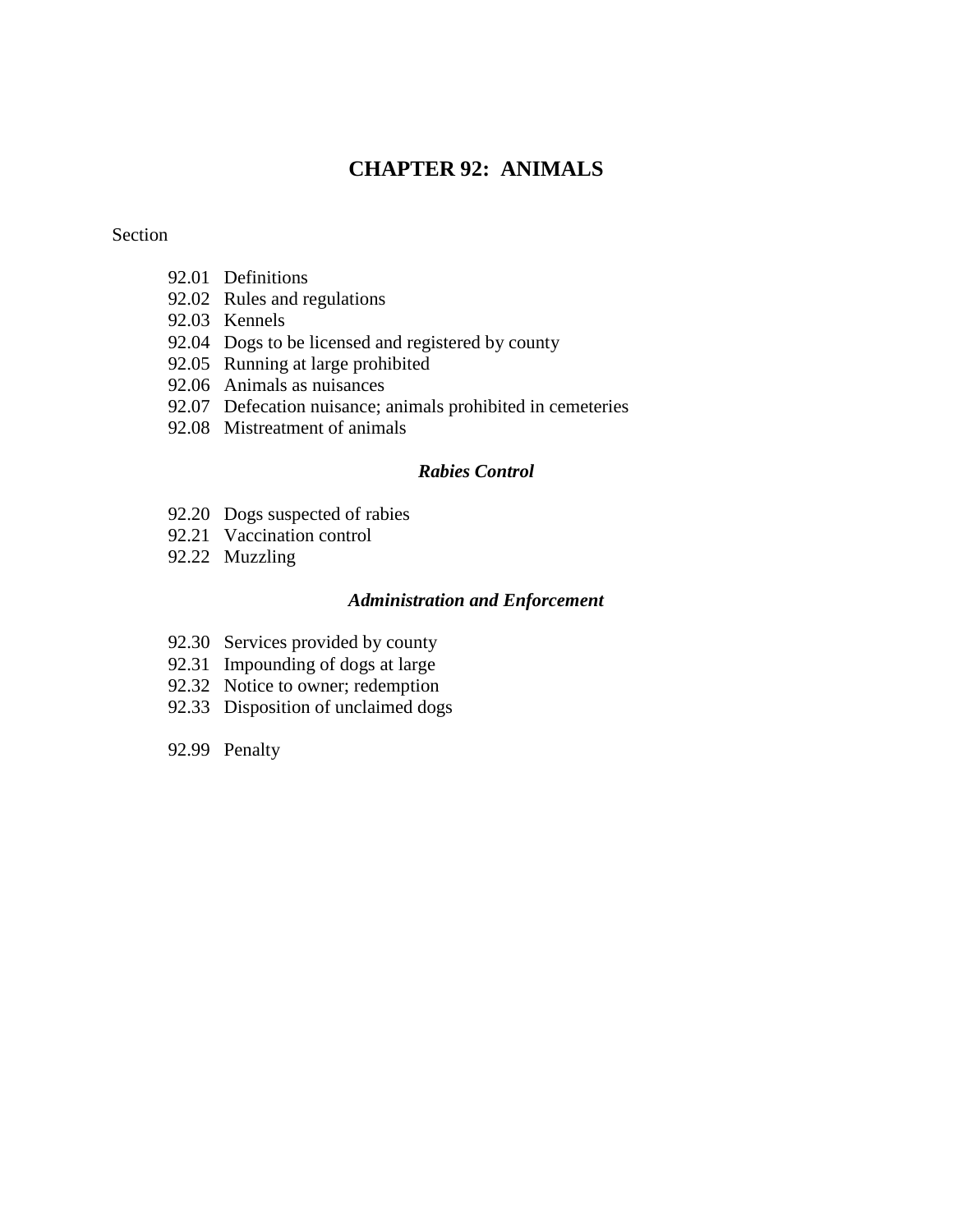## **CHAPTER 92: ANIMALS**

#### Section

- 92.01 Definitions
- 92.02 Rules and regulations
- 92.03 Kennels
- 92.04 Dogs to be licensed and registered by county
- 92.05 Running at large prohibited
- 92.06 Animals as nuisances
- 92.07 Defecation nuisance; animals prohibited in cemeteries
- 92.08 Mistreatment of animals

#### *Rabies Control*

- 92.20 Dogs suspected of rabies
- 92.21 Vaccination control
- 92.22 Muzzling

#### *Administration and Enforcement*

- 92.30 Services provided by county
- 92.31 Impounding of dogs at large
- 92.32 Notice to owner; redemption
- 92.33 Disposition of unclaimed dogs
- 92.99 Penalty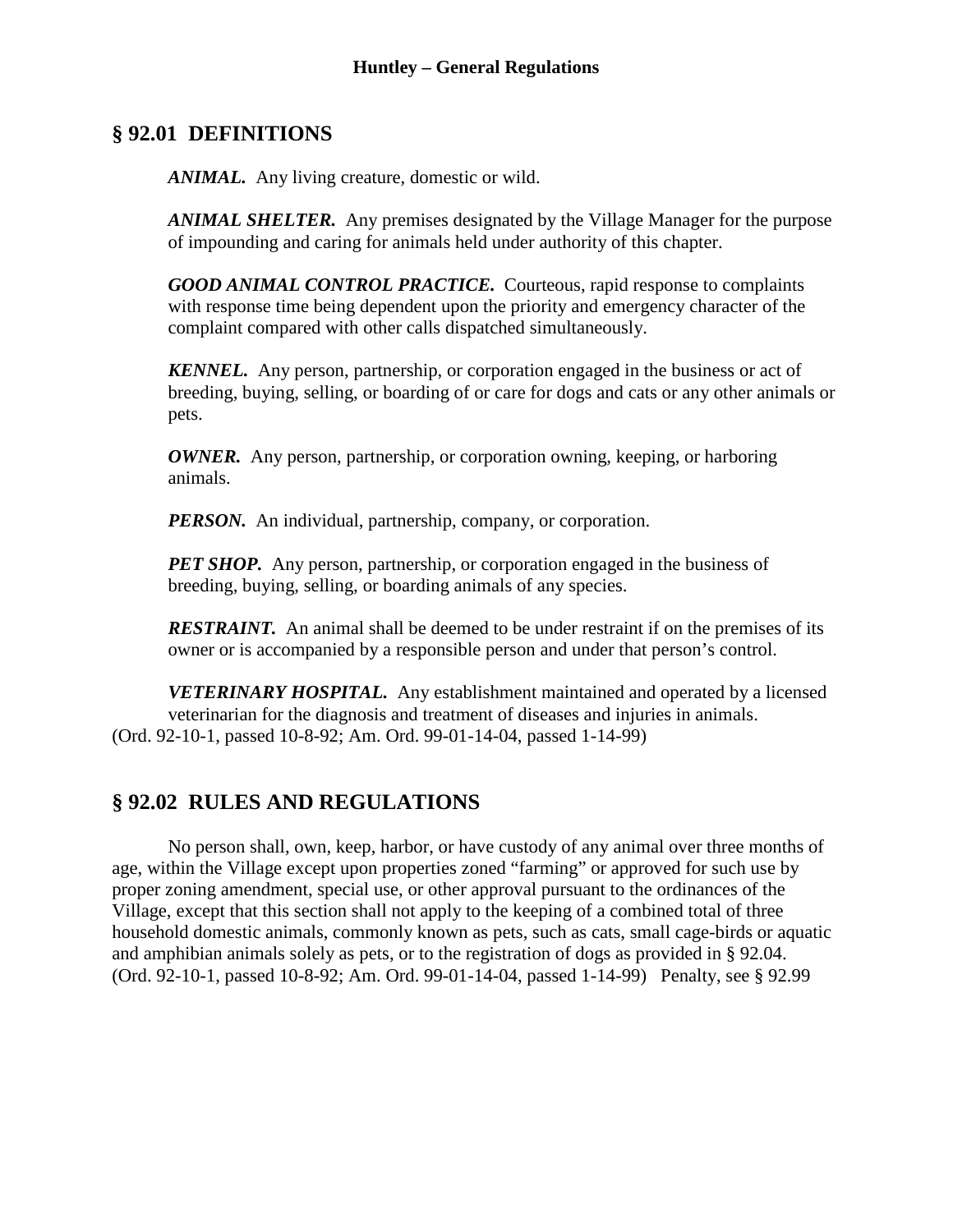## **§ 92.01 DEFINITIONS**

*ANIMAL.* Any living creature, domestic or wild.

*ANIMAL SHELTER.* Any premises designated by the Village Manager for the purpose of impounding and caring for animals held under authority of this chapter.

*GOOD ANIMAL CONTROL PRACTICE.* Courteous, rapid response to complaints with response time being dependent upon the priority and emergency character of the complaint compared with other calls dispatched simultaneously.

*KENNEL.* Any person, partnership, or corporation engaged in the business or act of breeding, buying, selling, or boarding of or care for dogs and cats or any other animals or pets.

*OWNER.* Any person, partnership, or corporation owning, keeping, or harboring animals.

*PERSON.* An individual, partnership, company, or corporation.

*PET SHOP.* Any person, partnership, or corporation engaged in the business of breeding, buying, selling, or boarding animals of any species.

*RESTRAINT.* An animal shall be deemed to be under restraint if on the premises of its owner or is accompanied by a responsible person and under that person's control.

*VETERINARY HOSPITAL.* Any establishment maintained and operated by a licensed veterinarian for the diagnosis and treatment of diseases and injuries in animals. (Ord. 92-10-1, passed 10-8-92; Am. Ord. 99-01-14-04, passed 1-14-99)

# **§ 92.02 RULES AND REGULATIONS**

No person shall, own, keep, harbor, or have custody of any animal over three months of age, within the Village except upon properties zoned "farming" or approved for such use by proper zoning amendment, special use, or other approval pursuant to the ordinances of the Village, except that this section shall not apply to the keeping of a combined total of three household domestic animals, commonly known as pets, such as cats, small cage-birds or aquatic and amphibian animals solely as pets, or to the registration of dogs as provided in § 92.04. (Ord. 92-10-1, passed 10-8-92; Am. Ord. 99-01-14-04, passed 1-14-99) Penalty, see § 92.99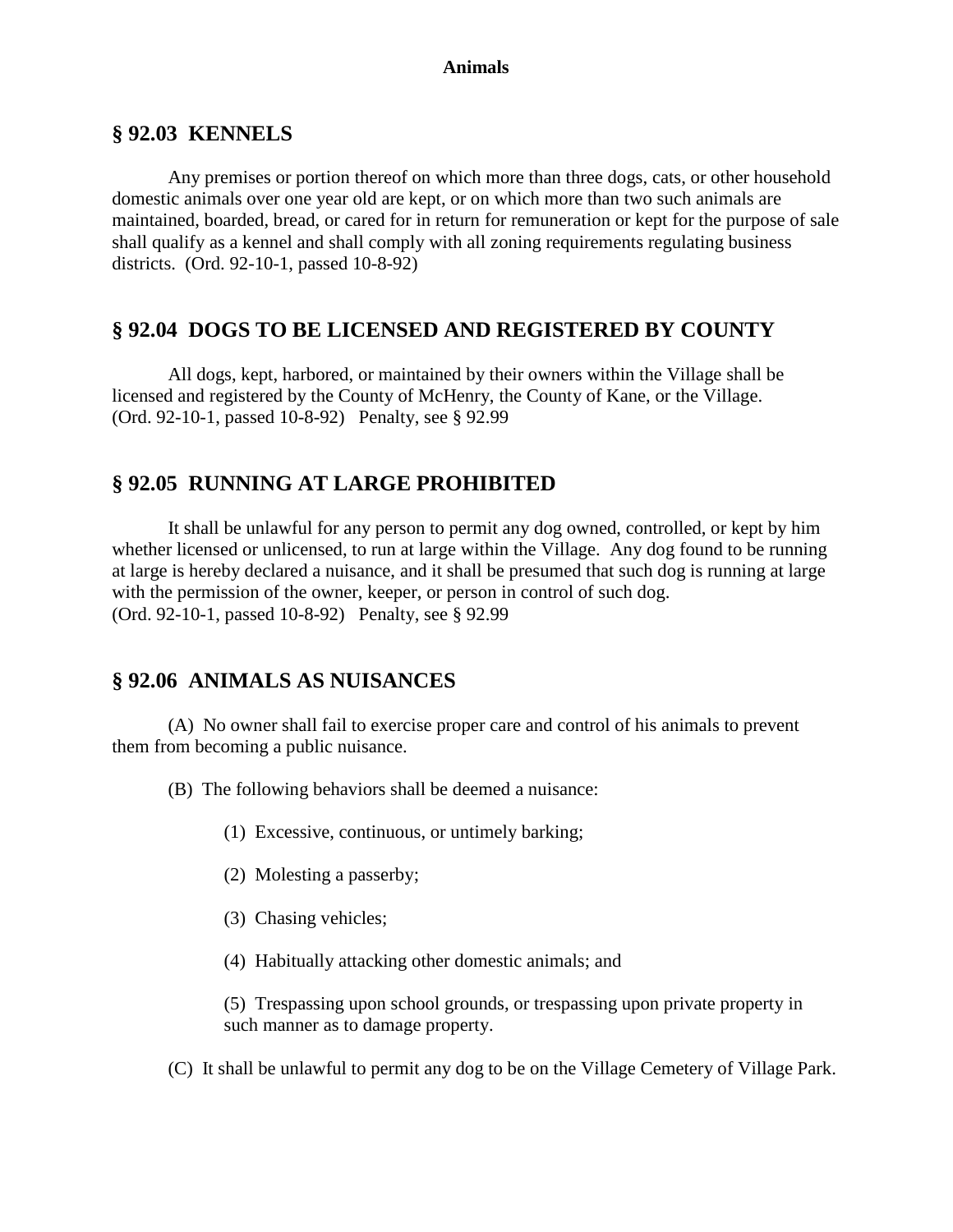#### **Animals**

### **§ 92.03 KENNELS**

Any premises or portion thereof on which more than three dogs, cats, or other household domestic animals over one year old are kept, or on which more than two such animals are maintained, boarded, bread, or cared for in return for remuneration or kept for the purpose of sale shall qualify as a kennel and shall comply with all zoning requirements regulating business districts. (Ord. 92-10-1, passed 10-8-92)

## **§ 92.04 DOGS TO BE LICENSED AND REGISTERED BY COUNTY**

All dogs, kept, harbored, or maintained by their owners within the Village shall be licensed and registered by the County of McHenry, the County of Kane, or the Village. (Ord. 92-10-1, passed 10-8-92) Penalty, see § 92.99

### **§ 92.05 RUNNING AT LARGE PROHIBITED**

It shall be unlawful for any person to permit any dog owned, controlled, or kept by him whether licensed or unlicensed, to run at large within the Village. Any dog found to be running at large is hereby declared a nuisance, and it shall be presumed that such dog is running at large with the permission of the owner, keeper, or person in control of such dog. (Ord. 92-10-1, passed 10-8-92) Penalty, see § 92.99

## **§ 92.06 ANIMALS AS NUISANCES**

(A) No owner shall fail to exercise proper care and control of his animals to prevent them from becoming a public nuisance.

(B) The following behaviors shall be deemed a nuisance:

- (1) Excessive, continuous, or untimely barking;
- (2) Molesting a passerby;
- (3) Chasing vehicles;
- (4) Habitually attacking other domestic animals; and

(5) Trespassing upon school grounds, or trespassing upon private property in such manner as to damage property.

(C) It shall be unlawful to permit any dog to be on the Village Cemetery of Village Park.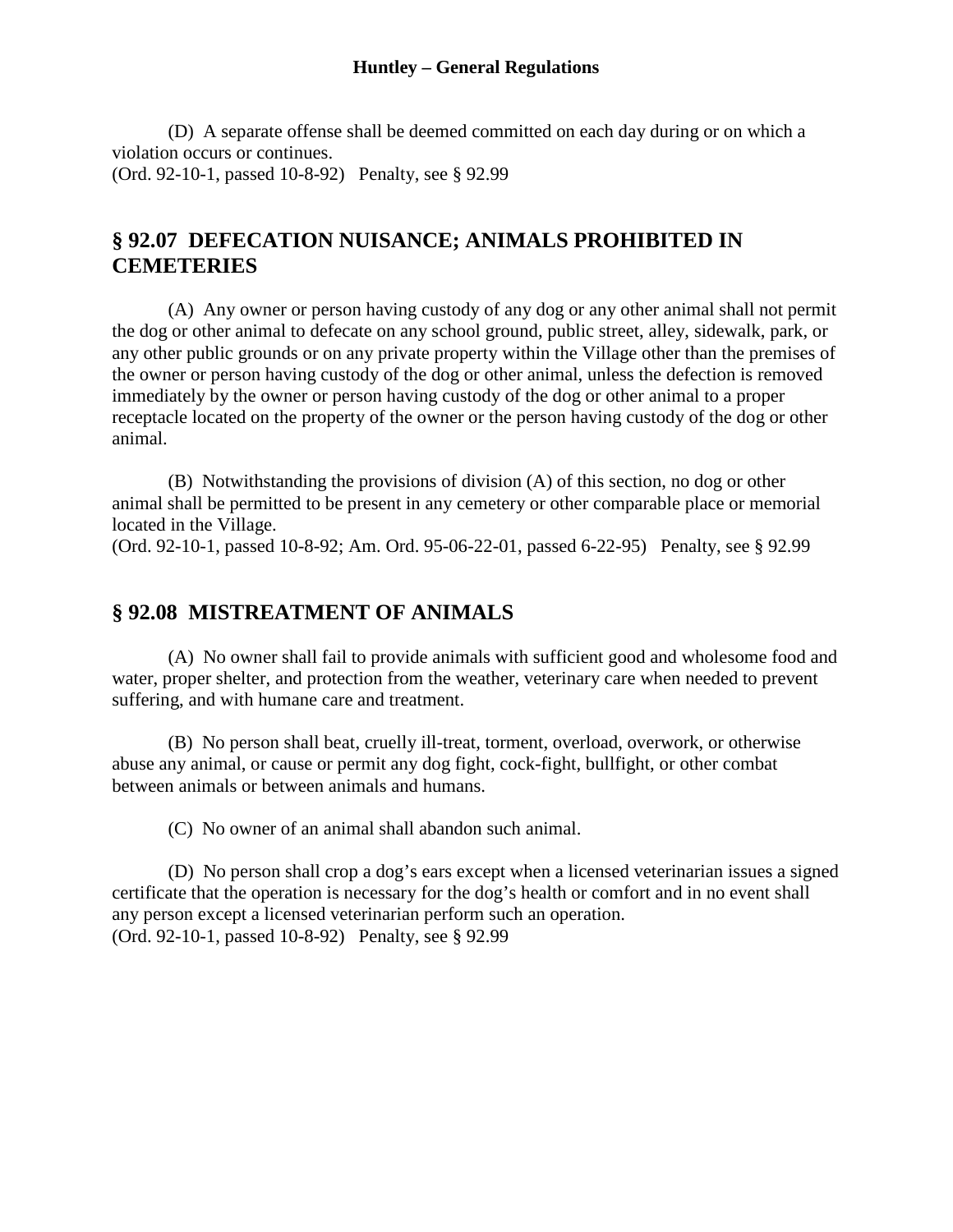#### **Huntley – General Regulations**

(D) A separate offense shall be deemed committed on each day during or on which a violation occurs or continues. (Ord. 92-10-1, passed 10-8-92) Penalty, see § 92.99

## **§ 92.07 DEFECATION NUISANCE; ANIMALS PROHIBITED IN CEMETERIES**

(A) Any owner or person having custody of any dog or any other animal shall not permit the dog or other animal to defecate on any school ground, public street, alley, sidewalk, park, or any other public grounds or on any private property within the Village other than the premises of the owner or person having custody of the dog or other animal, unless the defection is removed immediately by the owner or person having custody of the dog or other animal to a proper receptacle located on the property of the owner or the person having custody of the dog or other animal.

(B) Notwithstanding the provisions of division (A) of this section, no dog or other animal shall be permitted to be present in any cemetery or other comparable place or memorial located in the Village.

(Ord. 92-10-1, passed 10-8-92; Am. Ord. 95-06-22-01, passed 6-22-95) Penalty, see § 92.99

## **§ 92.08 MISTREATMENT OF ANIMALS**

(A) No owner shall fail to provide animals with sufficient good and wholesome food and water, proper shelter, and protection from the weather, veterinary care when needed to prevent suffering, and with humane care and treatment.

(B) No person shall beat, cruelly ill-treat, torment, overload, overwork, or otherwise abuse any animal, or cause or permit any dog fight, cock-fight, bullfight, or other combat between animals or between animals and humans.

(C) No owner of an animal shall abandon such animal.

(D) No person shall crop a dog's ears except when a licensed veterinarian issues a signed certificate that the operation is necessary for the dog's health or comfort and in no event shall any person except a licensed veterinarian perform such an operation. (Ord. 92-10-1, passed 10-8-92) Penalty, see § 92.99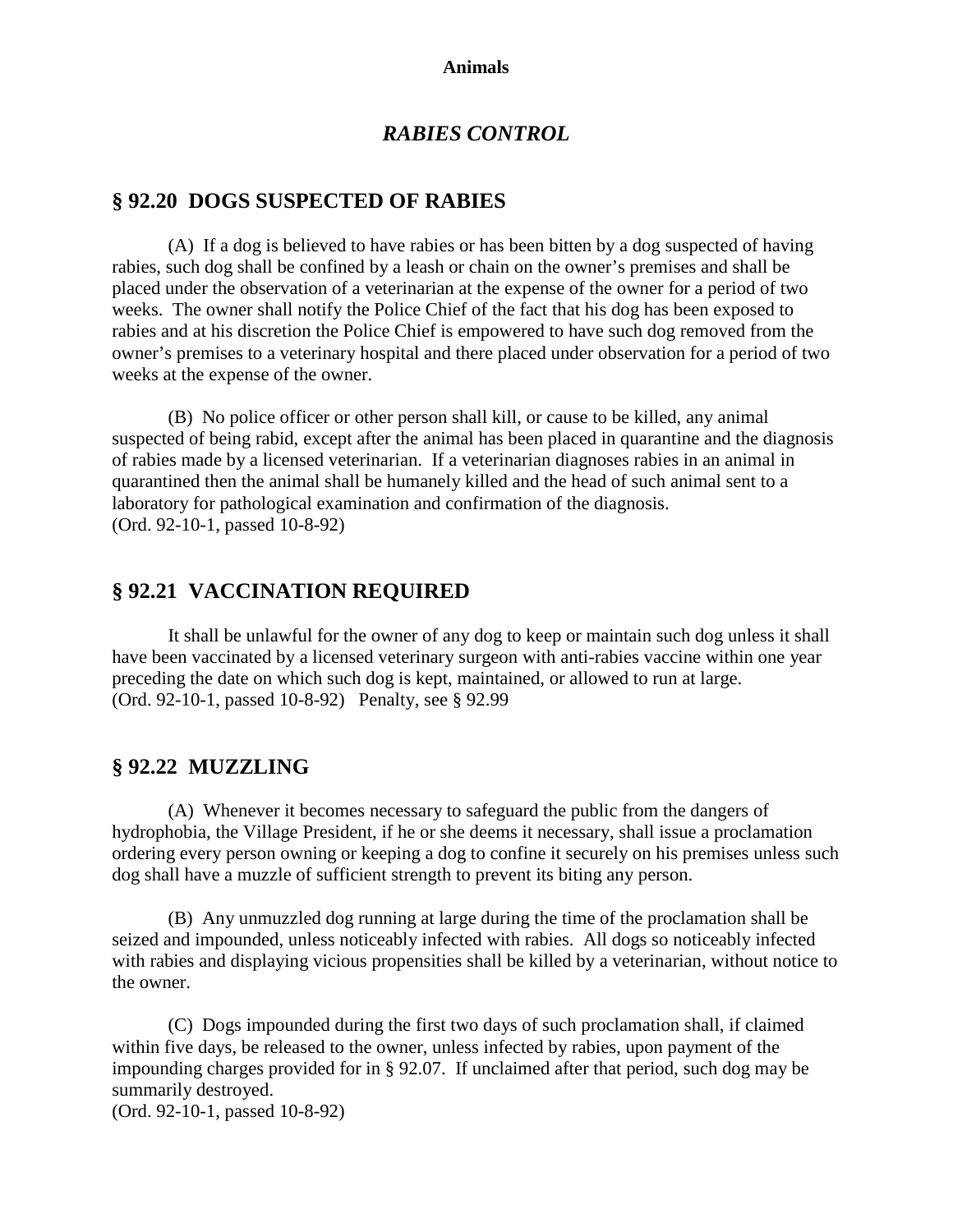#### **Animals**

### *RABIES CONTROL*

## **§ 92.20 DOGS SUSPECTED OF RABIES**

(A) If a dog is believed to have rabies or has been bitten by a dog suspected of having rabies, such dog shall be confined by a leash or chain on the owner's premises and shall be placed under the observation of a veterinarian at the expense of the owner for a period of two weeks. The owner shall notify the Police Chief of the fact that his dog has been exposed to rabies and at his discretion the Police Chief is empowered to have such dog removed from the owner's premises to a veterinary hospital and there placed under observation for a period of two weeks at the expense of the owner.

(B) No police officer or other person shall kill, or cause to be killed, any animal suspected of being rabid, except after the animal has been placed in quarantine and the diagnosis of rabies made by a licensed veterinarian. If a veterinarian diagnoses rabies in an animal in quarantined then the animal shall be humanely killed and the head of such animal sent to a laboratory for pathological examination and confirmation of the diagnosis. (Ord. 92-10-1, passed 10-8-92)

## **§ 92.21 VACCINATION REQUIRED**

It shall be unlawful for the owner of any dog to keep or maintain such dog unless it shall have been vaccinated by a licensed veterinary surgeon with anti-rabies vaccine within one year preceding the date on which such dog is kept, maintained, or allowed to run at large. (Ord. 92-10-1, passed 10-8-92) Penalty, see § 92.99

### **§ 92.22 MUZZLING**

(A) Whenever it becomes necessary to safeguard the public from the dangers of hydrophobia, the Village President, if he or she deems it necessary, shall issue a proclamation ordering every person owning or keeping a dog to confine it securely on his premises unless such dog shall have a muzzle of sufficient strength to prevent its biting any person.

(B) Any unmuzzled dog running at large during the time of the proclamation shall be seized and impounded, unless noticeably infected with rabies. All dogs so noticeably infected with rabies and displaying vicious propensities shall be killed by a veterinarian, without notice to the owner.

(C) Dogs impounded during the first two days of such proclamation shall, if claimed within five days, be released to the owner, unless infected by rabies, upon payment of the impounding charges provided for in § 92.07. If unclaimed after that period, such dog may be summarily destroyed.

(Ord. 92-10-1, passed 10-8-92)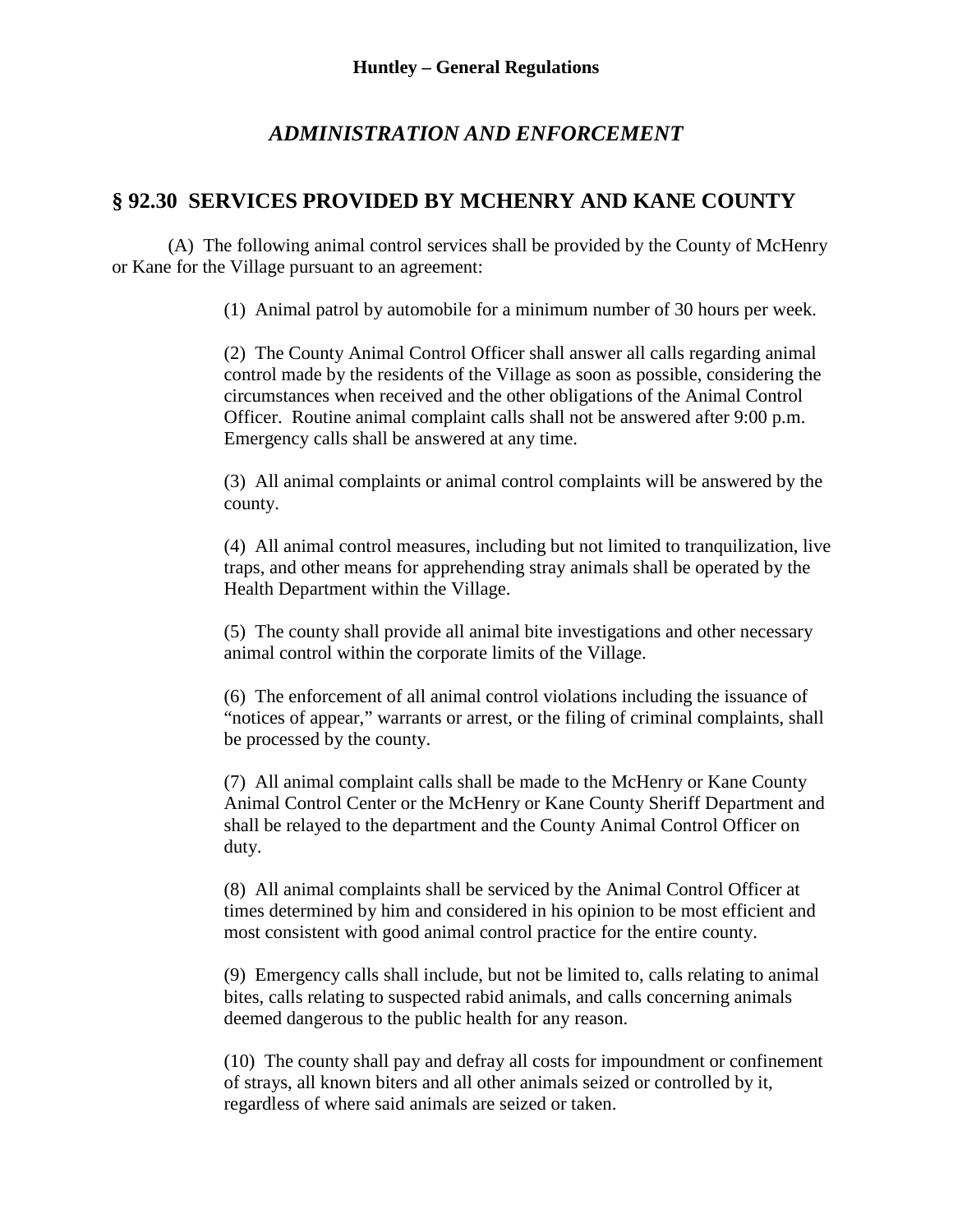## *ADMINISTRATION AND ENFORCEMENT*

## **§ 92.30 SERVICES PROVIDED BY MCHENRY AND KANE COUNTY**

(A) The following animal control services shall be provided by the County of McHenry or Kane for the Village pursuant to an agreement:

(1) Animal patrol by automobile for a minimum number of 30 hours per week.

(2) The County Animal Control Officer shall answer all calls regarding animal control made by the residents of the Village as soon as possible, considering the circumstances when received and the other obligations of the Animal Control Officer. Routine animal complaint calls shall not be answered after 9:00 p.m. Emergency calls shall be answered at any time.

(3) All animal complaints or animal control complaints will be answered by the county.

(4) All animal control measures, including but not limited to tranquilization, live traps, and other means for apprehending stray animals shall be operated by the Health Department within the Village.

(5) The county shall provide all animal bite investigations and other necessary animal control within the corporate limits of the Village.

(6) The enforcement of all animal control violations including the issuance of "notices of appear," warrants or arrest, or the filing of criminal complaints, shall be processed by the county.

(7) All animal complaint calls shall be made to the McHenry or Kane County Animal Control Center or the McHenry or Kane County Sheriff Department and shall be relayed to the department and the County Animal Control Officer on duty.

(8) All animal complaints shall be serviced by the Animal Control Officer at times determined by him and considered in his opinion to be most efficient and most consistent with good animal control practice for the entire county.

(9) Emergency calls shall include, but not be limited to, calls relating to animal bites, calls relating to suspected rabid animals, and calls concerning animals deemed dangerous to the public health for any reason.

(10) The county shall pay and defray all costs for impoundment or confinement of strays, all known biters and all other animals seized or controlled by it, regardless of where said animals are seized or taken.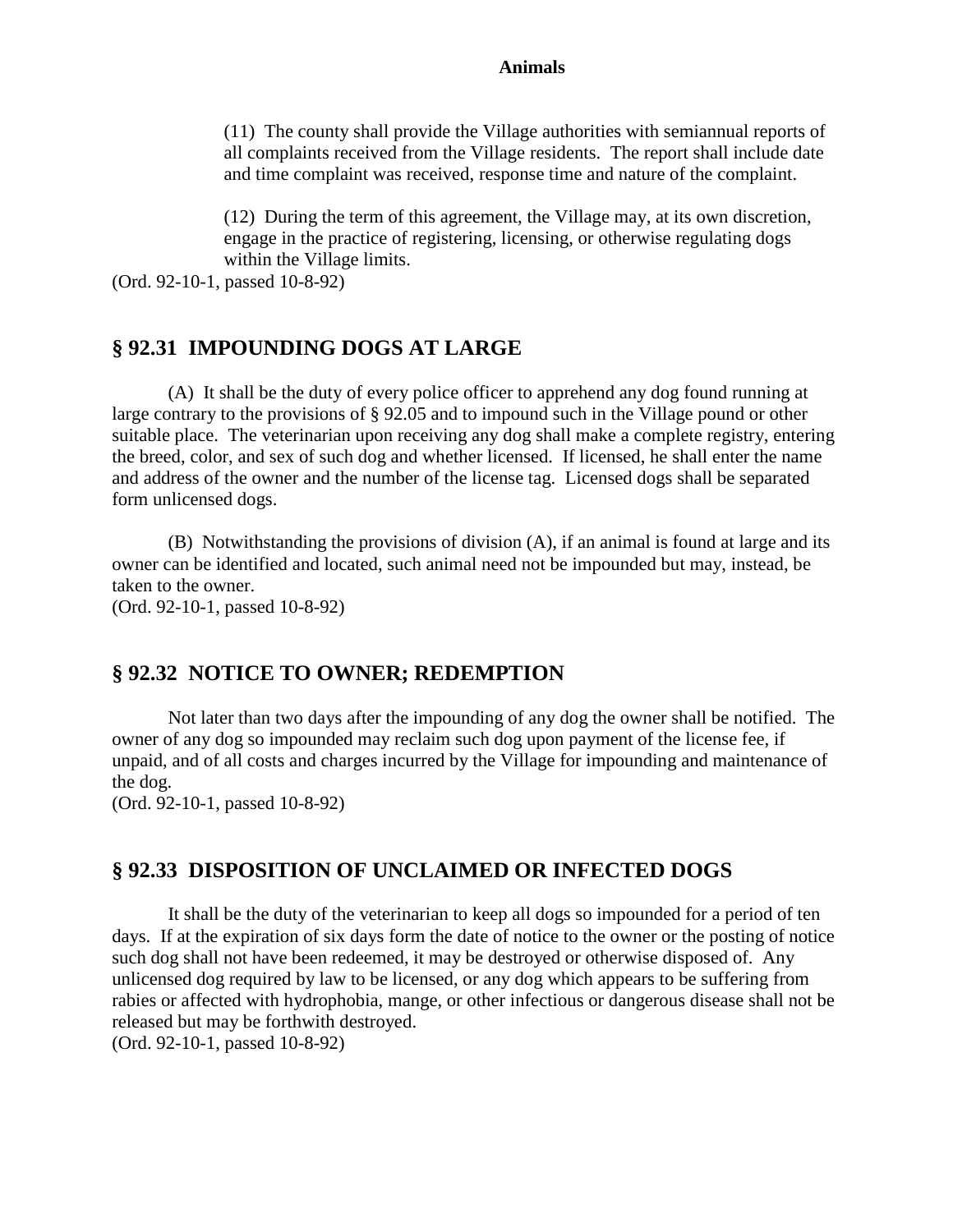#### **Animals**

(11) The county shall provide the Village authorities with semiannual reports of all complaints received from the Village residents. The report shall include date and time complaint was received, response time and nature of the complaint.

(12) During the term of this agreement, the Village may, at its own discretion, engage in the practice of registering, licensing, or otherwise regulating dogs within the Village limits.

(Ord. 92-10-1, passed 10-8-92)

## **§ 92.31 IMPOUNDING DOGS AT LARGE**

(A) It shall be the duty of every police officer to apprehend any dog found running at large contrary to the provisions of § 92.05 and to impound such in the Village pound or other suitable place. The veterinarian upon receiving any dog shall make a complete registry, entering the breed, color, and sex of such dog and whether licensed. If licensed, he shall enter the name and address of the owner and the number of the license tag. Licensed dogs shall be separated form unlicensed dogs.

(B) Notwithstanding the provisions of division (A), if an animal is found at large and its owner can be identified and located, such animal need not be impounded but may, instead, be taken to the owner.

(Ord. 92-10-1, passed 10-8-92)

### **§ 92.32 NOTICE TO OWNER; REDEMPTION**

Not later than two days after the impounding of any dog the owner shall be notified. The owner of any dog so impounded may reclaim such dog upon payment of the license fee, if unpaid, and of all costs and charges incurred by the Village for impounding and maintenance of the dog.

(Ord. 92-10-1, passed 10-8-92)

### **§ 92.33 DISPOSITION OF UNCLAIMED OR INFECTED DOGS**

It shall be the duty of the veterinarian to keep all dogs so impounded for a period of ten days. If at the expiration of six days form the date of notice to the owner or the posting of notice such dog shall not have been redeemed, it may be destroyed or otherwise disposed of. Any unlicensed dog required by law to be licensed, or any dog which appears to be suffering from rabies or affected with hydrophobia, mange, or other infectious or dangerous disease shall not be released but may be forthwith destroyed.

(Ord. 92-10-1, passed 10-8-92)